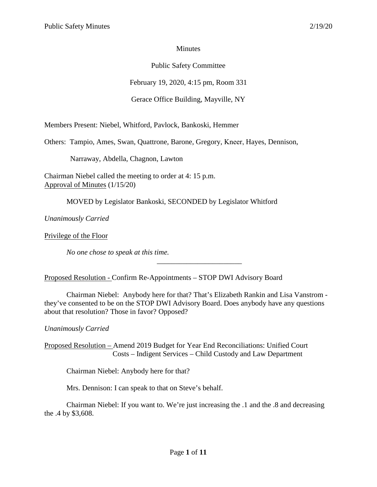## **Minutes**

# Public Safety Committee

February 19, 2020, 4:15 pm, Room 331

# Gerace Office Building, Mayville, NY

Members Present: Niebel, Whitford, Pavlock, Bankoski, Hemmer

Others: Tampio, Ames, Swan, Quattrone, Barone, Gregory, Kneer, Hayes, Dennison,

Narraway, Abdella, Chagnon, Lawton

Chairman Niebel called the meeting to order at 4: 15 p.m. Approval of Minutes (1/15/20)

MOVED by Legislator Bankoski, SECONDED by Legislator Whitford

*Unanimously Carried* 

Privilege of the Floor

*No one chose to speak at this time.*

Proposed Resolution - Confirm Re-Appointments – STOP DWI Advisory Board

Chairman Niebel: Anybody here for that? That's Elizabeth Rankin and Lisa Vanstrom they've consented to be on the STOP DWI Advisory Board. Does anybody have any questions about that resolution? Those in favor? Opposed?

\_\_\_\_\_\_\_\_\_\_\_\_\_\_\_\_\_\_\_\_\_\_\_

*Unanimously Carried* 

Proposed Resolution – Amend 2019 Budget for Year End Reconciliations: Unified Court Costs – Indigent Services – Child Custody and Law Department

Chairman Niebel: Anybody here for that?

Mrs. Dennison: I can speak to that on Steve's behalf.

Chairman Niebel: If you want to. We're just increasing the .1 and the .8 and decreasing the .4 by \$3,608.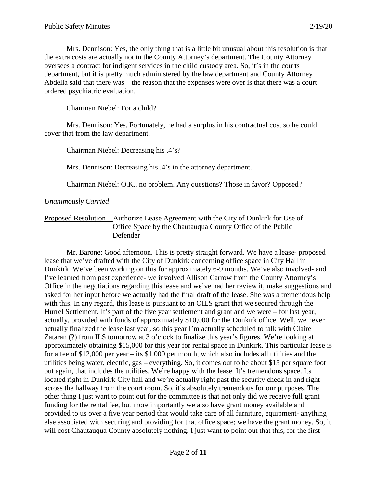Mrs. Dennison: Yes, the only thing that is a little bit unusual about this resolution is that the extra costs are actually not in the County Attorney's department. The County Attorney oversees a contract for indigent services in the child custody area. So, it's in the courts department, but it is pretty much administered by the law department and County Attorney Abdella said that there was – the reason that the expenses were over is that there was a court ordered psychiatric evaluation.

Chairman Niebel: For a child?

Mrs. Dennison: Yes. Fortunately, he had a surplus in his contractual cost so he could cover that from the law department.

Chairman Niebel: Decreasing his .4's?

Mrs. Dennison: Decreasing his .4's in the attorney department.

Chairman Niebel: O.K., no problem. Any questions? Those in favor? Opposed?

### *Unanimously Carried*

### Proposed Resolution – Authorize Lease Agreement with the City of Dunkirk for Use of Office Space by the Chautauqua County Office of the Public Defender

Mr. Barone: Good afternoon. This is pretty straight forward. We have a lease- proposed lease that we've drafted with the City of Dunkirk concerning office space in City Hall in Dunkirk. We've been working on this for approximately 6-9 months. We've also involved- and I've learned from past experience- we involved Allison Carrow from the County Attorney's Office in the negotiations regarding this lease and we've had her review it, make suggestions and asked for her input before we actually had the final draft of the lease. She was a tremendous help with this. In any regard, this lease is pursuant to an OILS grant that we secured through the Hurrel Settlement. It's part of the five year settlement and grant and we were – for last year, actually, provided with funds of approximately \$10,000 for the Dunkirk office. Well, we never actually finalized the lease last year, so this year I'm actually scheduled to talk with Claire Zataran (?) from ILS tomorrow at 3 o'clock to finalize this year's figures. We're looking at approximately obtaining \$15,000 for this year for rental space in Dunkirk. This particular lease is for a fee of \$12,000 per year – its \$1,000 per month, which also includes all utilities and the utilities being water, electric, gas – everything. So, it comes out to be about \$15 per square foot but again, that includes the utilities. We're happy with the lease. It's tremendous space. Its located right in Dunkirk City hall and we're actually right past the security check in and right across the hallway from the court room. So, it's absolutely tremendous for our purposes. The other thing I just want to point out for the committee is that not only did we receive full grant funding for the rental fee, but more importantly we also have grant money available and provided to us over a five year period that would take care of all furniture, equipment- anything else associated with securing and providing for that office space; we have the grant money. So, it will cost Chautauqua County absolutely nothing. I just want to point out that this, for the first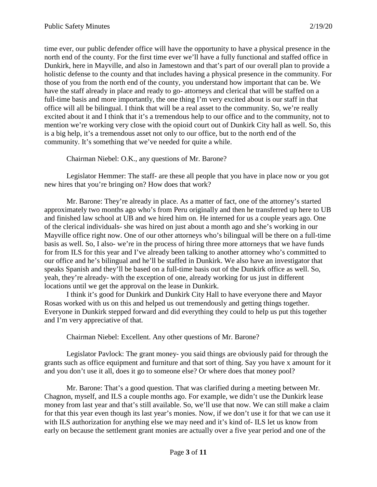time ever, our public defender office will have the opportunity to have a physical presence in the north end of the county. For the first time ever we'll have a fully functional and staffed office in Dunkirk, here in Mayville, and also in Jamestown and that's part of our overall plan to provide a holistic defense to the county and that includes having a physical presence in the community. For those of you from the north end of the county, you understand how important that can be. We have the staff already in place and ready to go- attorneys and clerical that will be staffed on a full-time basis and more importantly, the one thing I'm very excited about is our staff in that office will all be bilingual. I think that will be a real asset to the community. So, we're really excited about it and I think that it's a tremendous help to our office and to the community, not to mention we're working very close with the opioid court out of Dunkirk City hall as well. So, this is a big help, it's a tremendous asset not only to our office, but to the north end of the community. It's something that we've needed for quite a while.

Chairman Niebel: O.K., any questions of Mr. Barone?

Legislator Hemmer: The staff- are these all people that you have in place now or you got new hires that you're bringing on? How does that work?

Mr. Barone: They're already in place. As a matter of fact, one of the attorney's started approximately two months ago who's from Peru originally and then he transferred up here to UB and finished law school at UB and we hired him on. He interned for us a couple years ago. One of the clerical individuals- she was hired on just about a month ago and she's working in our Mayville office right now. One of our other attorneys who's bilingual will be there on a full-time basis as well. So, I also- we're in the process of hiring three more attorneys that we have funds for from ILS for this year and I've already been talking to another attorney who's committed to our office and he's bilingual and he'll be staffed in Dunkirk. We also have an investigator that speaks Spanish and they'll be based on a full-time basis out of the Dunkirk office as well. So, yeah, they're already- with the exception of one, already working for us just in different locations until we get the approval on the lease in Dunkirk.

I think it's good for Dunkirk and Dunkirk City Hall to have everyone there and Mayor Rosas worked with us on this and helped us out tremendously and getting things together. Everyone in Dunkirk stepped forward and did everything they could to help us put this together and I'm very appreciative of that*.*

Chairman Niebel: Excellent. Any other questions of Mr. Barone?

Legislator Pavlock: The grant money- you said things are obviously paid for through the grants such as office equipment and furniture and that sort of thing. Say you have x amount for it and you don't use it all, does it go to someone else? Or where does that money pool?

Mr. Barone: That's a good question. That was clarified during a meeting between Mr. Chagnon, myself, and ILS a couple months ago. For example, we didn't use the Dunkirk lease money from last year and that's still available. So, we'll use that now. We can still make a claim for that this year even though its last year's monies. Now, if we don't use it for that we can use it with ILS authorization for anything else we may need and it's kind of- ILS let us know from early on because the settlement grant monies are actually over a five year period and one of the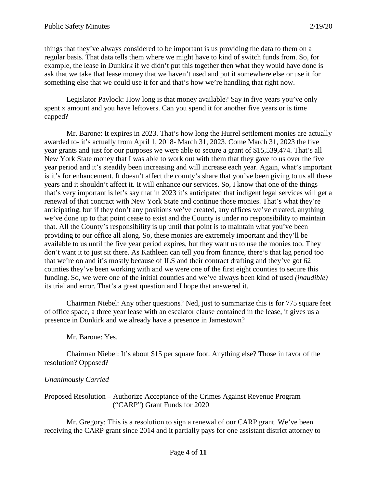things that they've always considered to be important is us providing the data to them on a regular basis. That data tells them where we might have to kind of switch funds from. So, for example, the lease in Dunkirk if we didn't put this together then what they would have done is ask that we take that lease money that we haven't used and put it somewhere else or use it for something else that we could use it for and that's how we're handling that right now.

Legislator Pavlock: How long is that money available? Say in five years you've only spent x amount and you have leftovers. Can you spend it for another five years or is time capped?

Mr. Barone: It expires in 2023. That's how long the Hurrel settlement monies are actually awarded to- it's actually from April 1, 2018- March 31, 2023. Come March 31, 2023 the five year grants and just for our purposes we were able to secure a grant of \$15,539,474. That's all New York State money that I was able to work out with them that they gave to us over the five year period and it's steadily been increasing and will increase each year. Again, what's important is it's for enhancement. It doesn't affect the county's share that you've been giving to us all these years and it shouldn't affect it. It will enhance our services. So, I know that one of the things that's very important is let's say that in 2023 it's anticipated that indigent legal services will get a renewal of that contract with New York State and continue those monies. That's what they're anticipating, but if they don't any positions we've created, any offices we've created, anything we've done up to that point cease to exist and the County is under no responsibility to maintain that. All the County's responsibility is up until that point is to maintain what you've been providing to our office all along. So, these monies are extremely important and they'll be available to us until the five year period expires, but they want us to use the monies too. They don't want it to just sit there. As Kathleen can tell you from finance, there's that lag period too that we're on and it's mostly because of ILS and their contract drafting and they've got 62 counties they've been working with and we were one of the first eight counties to secure this funding. So, we were one of the initial counties and we've always been kind of used *(inaudible)* its trial and error. That's a great question and I hope that answered it.

Chairman Niebel: Any other questions? Ned, just to summarize this is for 775 square feet of office space, a three year lease with an escalator clause contained in the lease, it gives us a presence in Dunkirk and we already have a presence in Jamestown?

### Mr. Barone: Yes.

Chairman Niebel: It's about \$15 per square foot. Anything else? Those in favor of the resolution? Opposed?

### *Unanimously Carried*

Proposed Resolution – Authorize Acceptance of the Crimes Against Revenue Program ("CARP") Grant Funds for 2020

Mr. Gregory: This is a resolution to sign a renewal of our CARP grant. We've been receiving the CARP grant since 2014 and it partially pays for one assistant district attorney to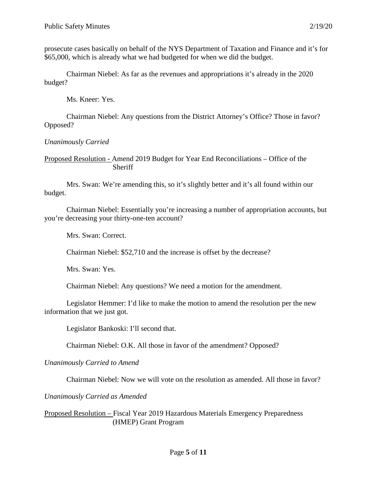prosecute cases basically on behalf of the NYS Department of Taxation and Finance and it's for \$65,000, which is already what we had budgeted for when we did the budget.

Chairman Niebel: As far as the revenues and appropriations it's already in the 2020 budget?

Ms. Kneer: Yes.

Chairman Niebel: Any questions from the District Attorney's Office? Those in favor? Opposed?

*Unanimously Carried*

Proposed Resolution - Amend 2019 Budget for Year End Reconciliations – Office of the Sheriff

Mrs. Swan: We're amending this, so it's slightly better and it's all found within our budget.

Chairman Niebel: Essentially you're increasing a number of appropriation accounts, but you're decreasing your thirty-one-ten account?

Mrs. Swan: Correct.

Chairman Niebel: \$52,710 and the increase is offset by the decrease?

Mrs. Swan: Yes.

Chairman Niebel: Any questions? We need a motion for the amendment.

Legislator Hemmer: I'd like to make the motion to amend the resolution per the new information that we just got.

Legislator Bankoski: I'll second that.

Chairman Niebel: O.K. All those in favor of the amendment? Opposed?

#### *Unanimously Carried to Amend*

Chairman Niebel: Now we will vote on the resolution as amended. All those in favor?

*Unanimously Carried as Amended*

Proposed Resolution – Fiscal Year 2019 Hazardous Materials Emergency Preparedness (HMEP) Grant Program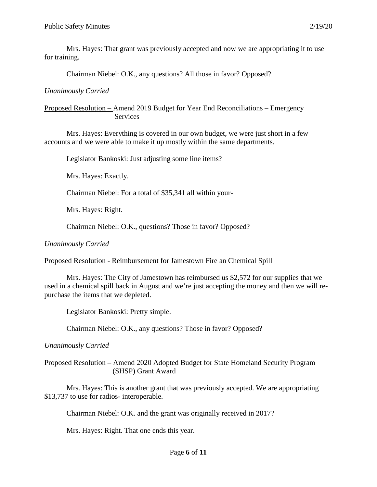Mrs. Hayes: That grant was previously accepted and now we are appropriating it to use for training.

Chairman Niebel: O.K., any questions? All those in favor? Opposed?

## *Unanimously Carried*

### Proposed Resolution – Amend 2019 Budget for Year End Reconciliations – Emergency Services

Mrs. Hayes: Everything is covered in our own budget, we were just short in a few accounts and we were able to make it up mostly within the same departments.

Legislator Bankoski: Just adjusting some line items?

Mrs. Hayes: Exactly.

Chairman Niebel: For a total of \$35,341 all within your-

Mrs. Hayes: Right.

Chairman Niebel: O.K., questions? Those in favor? Opposed?

*Unanimously Carried*

Proposed Resolution - Reimbursement for Jamestown Fire an Chemical Spill

Mrs. Hayes: The City of Jamestown has reimbursed us \$2,572 for our supplies that we used in a chemical spill back in August and we're just accepting the money and then we will repurchase the items that we depleted.

Legislator Bankoski: Pretty simple.

Chairman Niebel: O.K., any questions? Those in favor? Opposed?

*Unanimously Carried*

Proposed Resolution – Amend 2020 Adopted Budget for State Homeland Security Program (SHSP) Grant Award

Mrs. Hayes: This is another grant that was previously accepted. We are appropriating \$13,737 to use for radios- interoperable.

Chairman Niebel: O.K. and the grant was originally received in 2017?

Mrs. Hayes: Right. That one ends this year.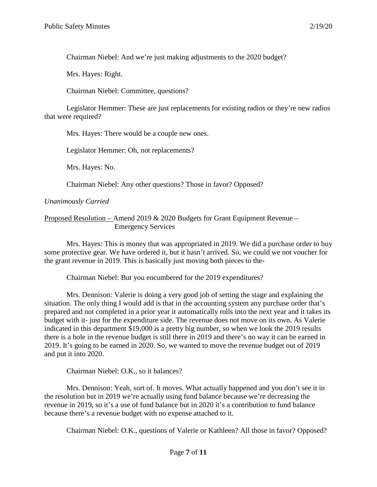Chairman Niebel: And we're just making adjustments to the 2020 budget?

Mrs. Hayes: Right.

Chairman Niebel: Committee, questions?

Legislator Hemmer: These are just replacements for existing radios or they're new radios that were required?

Mrs. Hayes: There would be a couple new ones.

Legislator Hemmer: Oh, not replacements?

Mrs. Hayes: No.

Chairman Niebel: Any other questions? Those in favor? Opposed?

### *Unanimously Carried*

Proposed Resolution – Amend 2019 & 2020 Budgets for Grant Equipment Revenue – Emergency Services

Mrs. Hayes: This is money that was appropriated in 2019. We did a purchase order to buy some protective gear. We have ordered it, but it hasn't arrived. So, we could we not voucher for the grant revenue in 2019. This is basically just moving both pieces to the-

Chairman Niebel: But you encumbered for the 2019 expenditures?

Mrs. Dennison: Valerie is doing a very good job of setting the stage and explaining the situation. The only thing I would add is that in the accounting system any purchase order that's prepared and not completed in a prior year it automatically rolls into the next year and it takes its budget with it- just for the expenditure side. The revenue does not move on its own. As Valerie indicated in this department \$19,000 is a pretty big number, so when we look the 2019 results there is a hole in the revenue budget is still there in 2019 and there's no way it can be earned in 2019. It's going to be earned in 2020. So, we wanted to move the revenue budget out of 2019 and put it into 2020.

Chairman Niebel: O.K., so it balances?

Mrs. Dennison: Yeah, sort of. It moves. What actually happened and you don't see it in the resolution but in 2019 we're actually using fund balance because we're decreasing the revenue in 2019, so it's a use of fund balance but in 2020 it's a contribution to fund balance because there's a revenue budget with no expense attached to it.

Chairman Niebel: O.K., questions of Valerie or Kathleen? All those in favor? Opposed?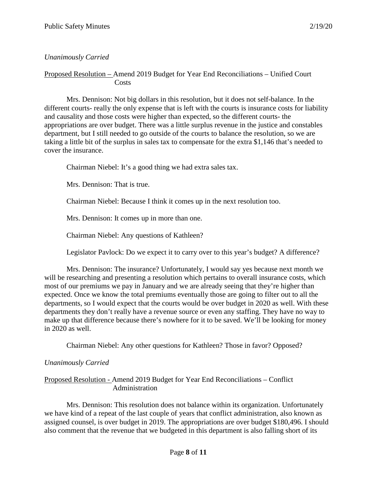## *Unanimously Carried*

### Proposed Resolution – Amend 2019 Budget for Year End Reconciliations – Unified Court **Costs**

Mrs. Dennison: Not big dollars in this resolution, but it does not self-balance. In the different courts- really the only expense that is left with the courts is insurance costs for liability and causality and those costs were higher than expected, so the different courts- the appropriations are over budget. There was a little surplus revenue in the justice and constables department, but I still needed to go outside of the courts to balance the resolution, so we are taking a little bit of the surplus in sales tax to compensate for the extra \$1,146 that's needed to cover the insurance.

Chairman Niebel: It's a good thing we had extra sales tax.

Mrs. Dennison: That is true.

Chairman Niebel: Because I think it comes up in the next resolution too.

Mrs. Dennison: It comes up in more than one.

Chairman Niebel: Any questions of Kathleen?

Legislator Pavlock: Do we expect it to carry over to this year's budget? A difference?

Mrs. Dennison: The insurance? Unfortunately, I would say yes because next month we will be researching and presenting a resolution which pertains to overall insurance costs, which most of our premiums we pay in January and we are already seeing that they're higher than expected. Once we know the total premiums eventually those are going to filter out to all the departments, so I would expect that the courts would be over budget in 2020 as well. With these departments they don't really have a revenue source or even any staffing. They have no way to make up that difference because there's nowhere for it to be saved. We'll be looking for money in 2020 as well.

Chairman Niebel: Any other questions for Kathleen? Those in favor? Opposed?

#### *Unanimously Carried*

### Proposed Resolution - Amend 2019 Budget for Year End Reconciliations – Conflict Administration

Mrs. Dennison: This resolution does not balance within its organization. Unfortunately we have kind of a repeat of the last couple of years that conflict administration, also known as assigned counsel, is over budget in 2019. The appropriations are over budget \$180,496. I should also comment that the revenue that we budgeted in this department is also falling short of its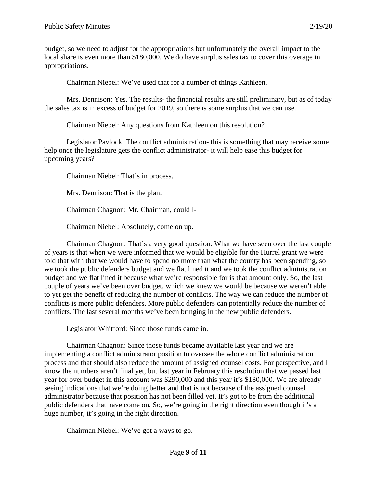budget, so we need to adjust for the appropriations but unfortunately the overall impact to the local share is even more than \$180,000. We do have surplus sales tax to cover this overage in appropriations.

Chairman Niebel: We've used that for a number of things Kathleen.

Mrs. Dennison: Yes. The results- the financial results are still preliminary, but as of today the sales tax is in excess of budget for 2019, so there is some surplus that we can use.

Chairman Niebel: Any questions from Kathleen on this resolution?

Legislator Pavlock: The conflict administration- this is something that may receive some help once the legislature gets the conflict administrator- it will help ease this budget for upcoming years?

Chairman Niebel: That's in process.

Mrs. Dennison: That is the plan.

Chairman Chagnon: Mr. Chairman, could I-

Chairman Niebel: Absolutely, come on up.

Chairman Chagnon: That's a very good question. What we have seen over the last couple of years is that when we were informed that we would be eligible for the Hurrel grant we were told that with that we would have to spend no more than what the county has been spending, so we took the public defenders budget and we flat lined it and we took the conflict administration budget and we flat lined it because what we're responsible for is that amount only. So, the last couple of years we've been over budget, which we knew we would be because we weren't able to yet get the benefit of reducing the number of conflicts. The way we can reduce the number of conflicts is more public defenders. More public defenders can potentially reduce the number of conflicts. The last several months we've been bringing in the new public defenders.

Legislator Whitford: Since those funds came in.

Chairman Chagnon: Since those funds became available last year and we are implementing a conflict administrator position to oversee the whole conflict administration process and that should also reduce the amount of assigned counsel costs. For perspective, and I know the numbers aren't final yet, but last year in February this resolution that we passed last year for over budget in this account was \$290,000 and this year it's \$180,000. We are already seeing indications that we're doing better and that is not because of the assigned counsel administrator because that position has not been filled yet. It's got to be from the additional public defenders that have come on. So, we're going in the right direction even though it's a huge number, it's going in the right direction.

Chairman Niebel: We've got a ways to go.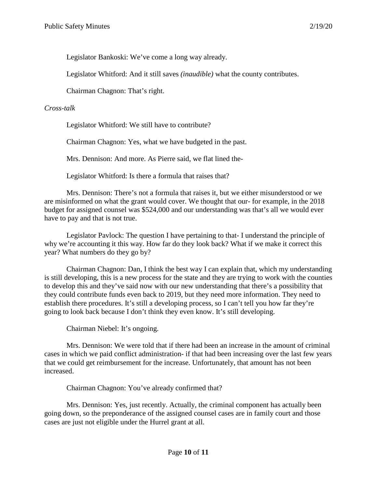Legislator Bankoski: We've come a long way already.

Legislator Whitford: And it still saves *(inaudible)* what the county contributes.

Chairman Chagnon: That's right.

### *Cross-talk*

Legislator Whitford: We still have to contribute?

Chairman Chagnon: Yes, what we have budgeted in the past.

Mrs. Dennison: And more. As Pierre said, we flat lined the-

Legislator Whitford: Is there a formula that raises that?

Mrs. Dennison: There's not a formula that raises it, but we either misunderstood or we are misinformed on what the grant would cover. We thought that our- for example, in the 2018 budget for assigned counsel was \$524,000 and our understanding was that's all we would ever have to pay and that is not true.

Legislator Pavlock: The question I have pertaining to that- I understand the principle of why we're accounting it this way. How far do they look back? What if we make it correct this year? What numbers do they go by?

Chairman Chagnon: Dan, I think the best way I can explain that, which my understanding is still developing, this is a new process for the state and they are trying to work with the counties to develop this and they've said now with our new understanding that there's a possibility that they could contribute funds even back to 2019, but they need more information. They need to establish there procedures. It's still a developing process, so I can't tell you how far they're going to look back because I don't think they even know. It's still developing.

Chairman Niebel: It's ongoing.

Mrs. Dennison: We were told that if there had been an increase in the amount of criminal cases in which we paid conflict administration- if that had been increasing over the last few years that we could get reimbursement for the increase. Unfortunately, that amount has not been increased.

Chairman Chagnon: You've already confirmed that?

Mrs. Dennison: Yes, just recently. Actually, the criminal component has actually been going down, so the preponderance of the assigned counsel cases are in family court and those cases are just not eligible under the Hurrel grant at all.